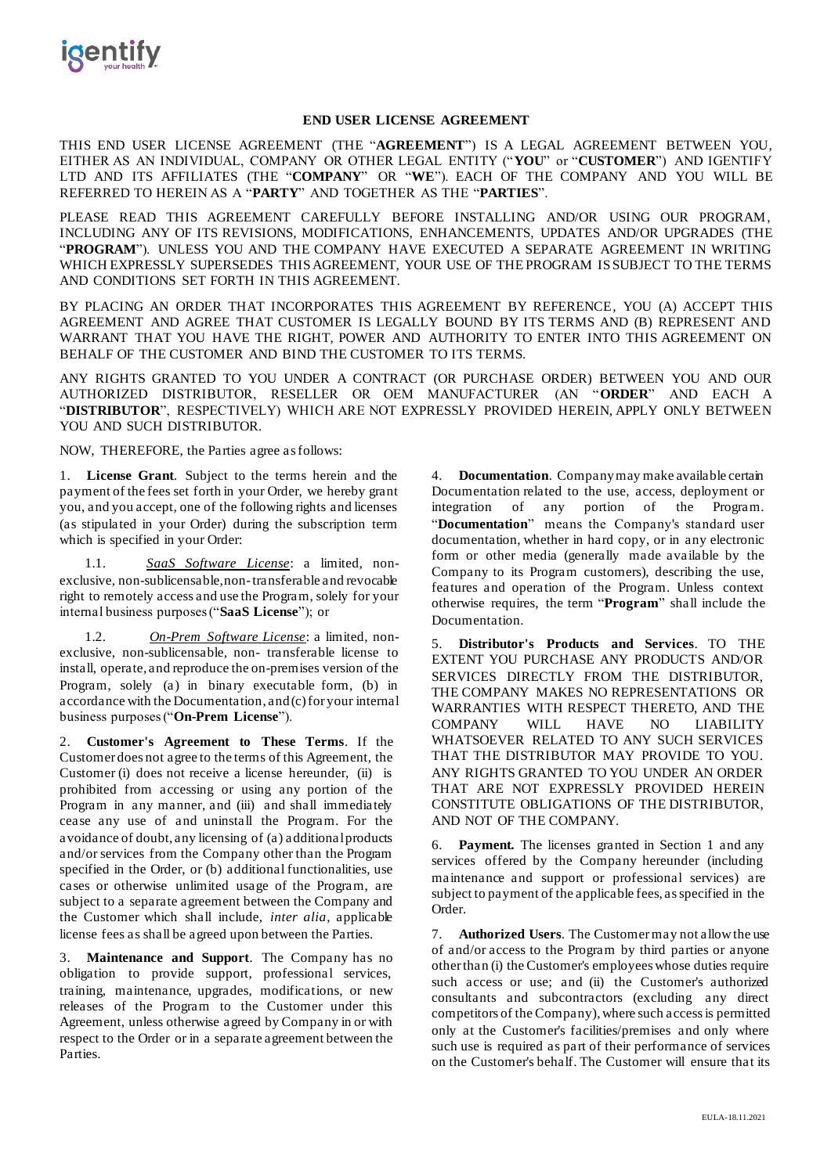

#### **END USER LICENSE AGREEMENT**

THIS END USER LICENSE AGREEMENT (THE "**AGREEMENT**") IS A LEGAL AGREEMENT BETWEEN YOU, EITHER AS AN INDIVIDUAL, COMPANY OR OTHER LEGAL ENTITY ("**YOU**" or "**CUSTOMER**") AND IGENTIFY LTD AND ITS AFFILIATES (THE "**COMPANY**" OR "**WE**"). EACH OF THE COMPANY AND YOU WILL BE REFERRED TO HEREIN AS A "**PARTY**" AND TOGETHER AS THE "**PARTIES**".

PLEASE READ THIS AGREEMENT CAREFULLY BEFORE INSTALLING AND/OR USING OUR PROGRAM, INCLUDING ANY OF ITS REVISIONS, MODIFICATIONS, ENHANCEMENTS, UPDATES AND/OR UPGRADES (THE "**PROGRAM**"). UNLESS YOU AND THE COMPANY HAVE EXECUTED A SEPARATE AGREEMENT IN WRITING WHICH EXPRESSLY SUPERSEDES THIS AGREEMENT, YOUR USE OF THE PROGRAM IS SUBJECT TO THE TERMS AND CONDITIONS SET FORTH IN THIS AGREEMENT.

BY PLACING AN ORDER THAT INCORPORATES THIS AGREEMENT BY REFERENCE, YOU (A) ACCEPT THIS AGREEMENT AND AGREE THAT CUSTOMER IS LEGALLY BOUND BY ITS TERMS AND (B) REPRESENT AND WARRANT THAT YOU HAVE THE RIGHT, POWER AND AUTHORITY TO ENTER INTO THIS AGREEMENT ON BEHALF OF THE CUSTOMER AND BIND THE CUSTOMER TO ITS TERMS.

ANY RIGHTS GRANTED TO YOU UNDER A CONTRACT (OR PURCHASE ORDER) BETWEEN YOU AND OUR AUTHORIZED DISTRIBUTOR, RESELLER OR OEM MANUFACTURER (AN "**ORDER**" AND EACH A "**DISTRIBUTOR**", RESPECTIVELY) WHICH ARE NOT EXPRESSLY PROVIDED HEREIN, APPLY ONLY BETWEEN YOU AND SUCH DISTRIBUTOR.

NOW, THEREFORE, the Parties agree as follows:

1. **License Grant**. Subject to the terms herein and the payment of the fees set forth in your Order, we hereby grant you, and you accept, one of the following rights and licenses (as stipulated in your Order) during the subscription term which is specified in your Order:

1.1. *SaaS Software License*: a limited, nonexclusive, non-sublicensable,non-transferable and revocable right to remotely access and use the Program, solely for your internal business purposes ("**SaaS License**"); or

1.2. *On-Prem Software License*: a limited, nonexclusive, non-sublicensable, non- transferable license to install, operate, and reproduce the on-premises version of the Program, solely (a) in binary executable form, (b) in accordance with the Documentation, and(c)for your internal business purposes ("**On-Prem License**").

2. **Customer's Agreement to These Terms**. If the Customer does not agree to the terms of this Agreement, the Customer (i) does not receive a license hereunder, (ii) is prohibited from accessing or using any portion of the Program in any manner, and (iii) and shall immediately cease any use of and uninstall the Program. For the avoidance of doubt, any licensing of (a) additional products and/or services from the Company other than the Program specified in the Order, or (b) additional functionalities, use cases or otherwise unlimited usage of the Program, are subject to a separate agreement between the Company and the Customer which shall include, *inter alia*, applicable license fees as shall be agreed upon between the Parties.

**Maintenance and Support.** The Company has no obligation to provide support, professional services, training, maintenance, upgrades, modifications, or new releases of the Program to the Customer under this Agreement, unless otherwise agreed by Company in or with respect to the Order or in a separate agreement between the Parties.

4. **Documentation**. Company may make available certain Documentation related to the use, access, deployment or integration of any portion of the Program. "**Documentation**" means the Company's standard user documentation, whether in hard copy, or in any electronic form or other media (generally made available by the Company to its Program customers), describing the use, features and operation of the Program. Unless context otherwise requires, the term "**Program**" shall include the Documentation.

5. **Distributor's Products and Services**. TO THE EXTENT YOU PURCHASE ANY PRODUCTS AND/OR SERVICES DIRECTLY FROM THE DISTRIBUTOR, THE COMPANY MAKES NO REPRESENTATIONS OR WARRANTIES WITH RESPECT THERETO, AND THE COMPANY WILL HAVE NO LIABILITY WHATSOEVER RELATED TO ANY SUCH SERVICES THAT THE DISTRIBUTOR MAY PROVIDE TO YOU. ANY RIGHTS GRANTED TO YOU UNDER AN ORDER THAT ARE NOT EXPRESSLY PROVIDED HEREIN CONSTITUTE OBLIGATIONS OF THE DISTRIBUTOR, AND NOT OF THE COMPANY.

6. **Payment.** The licenses granted in Section 1 and any services offered by the Company hereunder (including maintenance and support or professional services) are subject to payment of the applicable fees, as specified in the Order.

7. **Authorized Users**. The Customermay not allowthe use of and/or access to the Program by third parties or anyone other than (i) the Customer's employees whose duties require such access or use; and (ii) the Customer's authorized consultants and subcontractors (excluding any direct competitors of the Company), where such access is permitted only at the Customer's facilities/premises and only where such use is required as part of their performance of services on the Customer's behalf. The Customer will ensure that its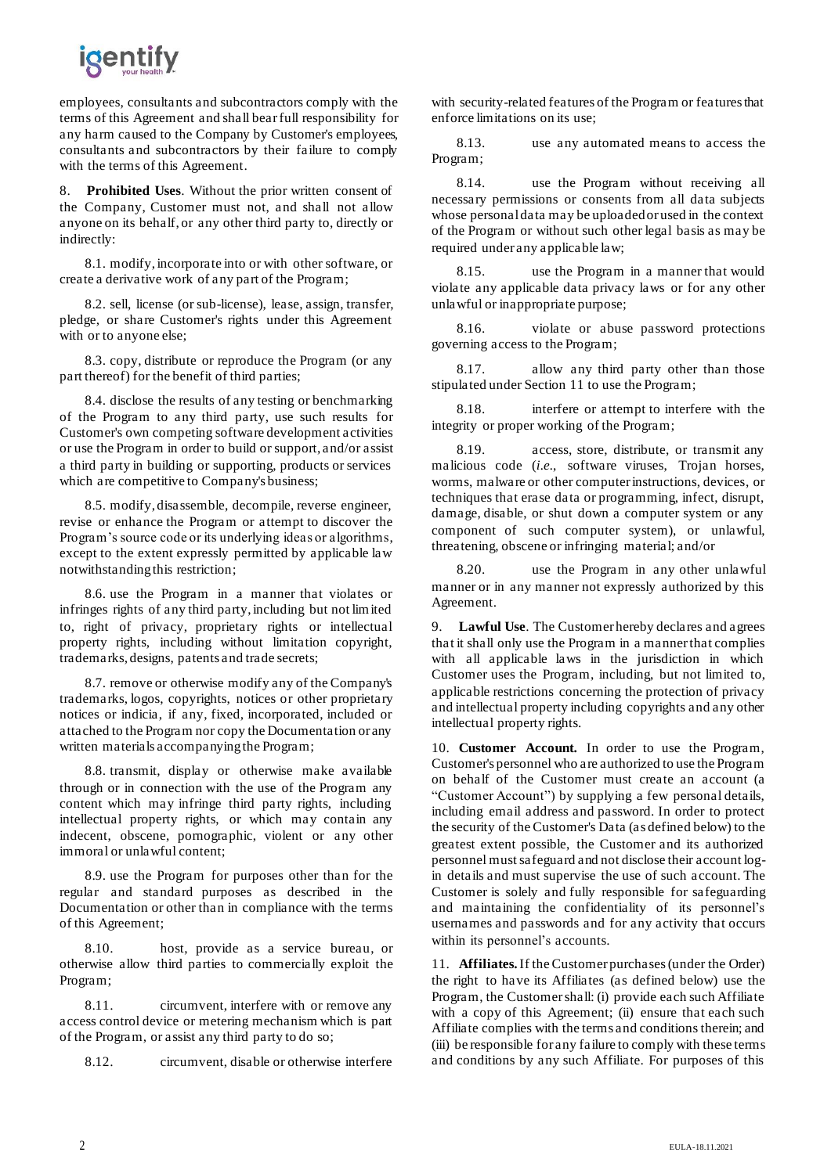

employees, consultants and subcontractors comply with the terms of this Agreement and shall bear full responsibility for any harm caused to the Company by Customer's employees, consultants and subcontractors by their failure to comply with the terms of this Agreement.

8. **Prohibited Uses**. Without the prior written consent of the Company, Customer must not, and shall not allow anyone on its behalf, or any other third party to, directly or indirectly:

8.1. modify, incorporate into or with other software, or create a derivative work of any part of the Program;

8.2. sell, license (or sub-license), lease, assign, transfer, pledge, or share Customer's rights under this Agreement with or to anyone else;

8.3. copy, distribute or reproduce the Program (or any part thereof) for the benefit of third parties;

8.4. disclose the results of any testing or benchmarking of the Program to any third party, use such results for Customer's own competing software development activities or use the Program in order to build or support, and/or assist a third party in building or supporting, products or services which are competitive to Company's business;

8.5. modify, disassemble, decompile, reverse engineer, revise or enhance the Program or attempt to discover the Program's source code or its underlying ideas or algorithms, except to the extent expressly permitted by applicable law notwithstanding this restriction;

8.6. use the Program in a manner that violates or infringes rights of any third party, including but not limited to, right of privacy, proprietary rights or intellectual property rights, including without limitation copyright, trademarks, designs, patents and trade secrets;

8.7. remove or otherwise modify any of the Company's trademarks, logos, copyrights, notices or other proprietary notices or indicia, if any, fixed, incorporated, included or attached to the Program nor copy the Documentation or any written materials accompanying the Program;

8.8. transmit, display or otherwise make available through or in connection with the use of the Program any content which may infringe third party rights, including intellectual property rights, or which may contain any indecent, obscene, pornographic, violent or any other immoral or unlawful content;

8.9. use the Program for purposes other than for the regular and standard purposes as described in the Documentation or other than in compliance with the terms of this Agreement;

8.10. host, provide as a service bureau, or otherwise allow third parties to commercially exploit the Program;

8.11. circumvent, interfere with or remove any access control device or metering mechanism which is part of the Program, or assist any third party to do so;

8.12. circumvent, disable or otherwise interfere

with security-related features of the Program or features that enforce limitations on its use;

8.13. use any automated means to access the Program;

8.14. use the Program without receiving all necessary permissions or consents from all data subjects whose personal data may be uploaded or used in the context of the Program or without such other legal basis as may be required under any applicable law;

8.15. use the Program in a manner that would violate any applicable data privacy laws or for any other unlawful or inappropriate purpose;

8.16. violate or abuse password protections governing access to the Program;

8.17. allow any third party other than those stipulated under Section [11 t](#page-1-0)o use the Program;

8.18. interfere or attempt to interfere with the integrity or proper working of the Program;

8.19. access, store, distribute, or transmit any malicious code (*i.e.*, software viruses, Trojan horses, worms, malware or other computer instructions, devices, or techniques that erase data or programming, infect, disrupt, damage, disable, or shut down a computer system or any component of such computer system), or unlawful, threatening, obscene or infringing material; and/or

8.20. use the Program in any other unlawful manner or in any manner not expressly authorized by this Agreement.

9. **Lawful Use**. The Customer hereby declares and agrees that it shall only use the Program in a manner that complies with all applicable laws in the jurisdiction in which Customer uses the Program, including, but not limited to, applicable restrictions concerning the protection of privacy and intellectual property including copyrights and any other intellectual property rights.

10. **Customer Account.** In order to use the Program, Customer's personnel who are authorized to use the Program on behalf of the Customer must create an account (a "Customer Account") by supplying a few personal details, including email address and password. In order to protect the security of the Customer's Data (as defined below) to the greatest extent possible, the Customer and its authorized personnel must safeguard and not disclose their account login details and must supervise the use of such account. The Customer is solely and fully responsible for safeguarding and maintaining the confidentiality of its personnel's usernames and passwords and for any activity that occurs within its personnel's accounts.

<span id="page-1-0"></span>11. **Affiliates.** If the Customer purchases (under the Order) the right to have its Affiliates (as defined below) use the Program, the Customershall: (i) provide each such Affiliate with a copy of this Agreement; (ii) ensure that each such Affiliate complies with the terms and conditions therein; and (iii) be responsible for any failure to comply with these terms and conditions by any such Affiliate. For purposes of this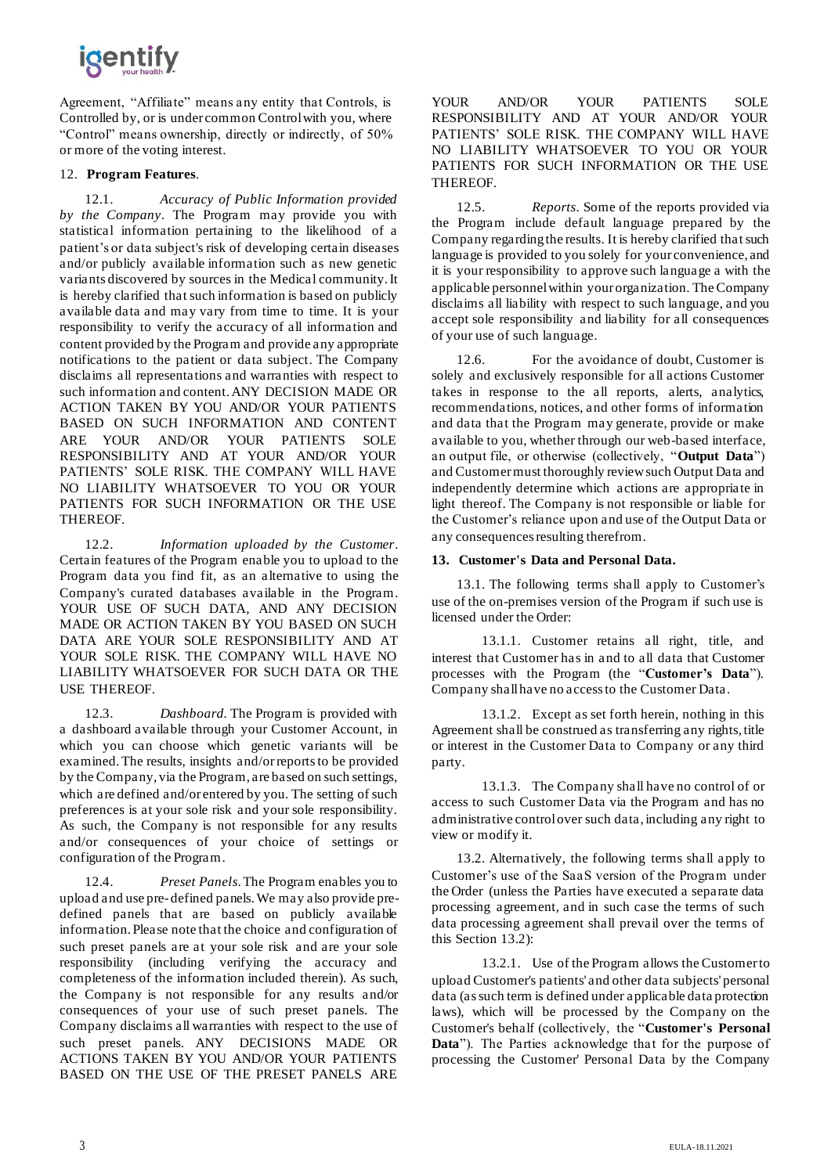# *igentify*

Agreement, "Affiliate" means any entity that Controls, is Controlled by, or is under common Control with you, where "Control" means ownership, directly or indirectly, of 50% or more of the voting interest.

### 12. **Program Features**.

12.1. *Accuracy of Public Information provided by the Company*. The Program may provide you with statistical information pertaining to the likelihood of a patient's or data subject's risk of developing certain diseases and/or publicly available information such as new genetic variants discovered by sources in the Medical community.It is hereby clarified that such information is based on publicly available data and may vary from time to time. It is your responsibility to verify the accuracy of all information and content provided by the Program and provide any appropriate notifications to the patient or data subject. The Company disclaims all representations and warranties with respect to such information and content. ANY DECISION MADE OR ACTION TAKEN BY YOU AND/OR YOUR PATIENTS BASED ON SUCH INFORMATION AND CONTENT ARE YOUR AND/OR YOUR PATIENTS SOLE RESPONSIBILITY AND AT YOUR AND/OR YOUR PATIENTS' SOLE RISK. THE COMPANY WILL HAVE NO LIABILITY WHATSOEVER TO YOU OR YOUR PATIENTS FOR SUCH INFORMATION OR THE USE THEREOF.

12.2. *Information uploaded by the Customer*. Certain features of the Program enable you to upload to the Program data you find fit, as an alternative to using the Company's curated databases available in the Program. YOUR USE OF SUCH DATA, AND ANY DECISION MADE OR ACTION TAKEN BY YOU BASED ON SUCH DATA ARE YOUR SOLE RESPONSIBILITY AND AT YOUR SOLE RISK. THE COMPANY WILL HAVE NO LIABILITY WHATSOEVER FOR SUCH DATA OR THE USE THEREOF.

12.3. *Dashboard.* The Program is provided with a dashboard available through your Customer Account, in which you can choose which genetic variants will be examined.The results, insights and/orreportsto be provided by the Company, via the Program, are based on such settings, which are defined and/or entered by you. The setting of such preferences is at your sole risk and your sole responsibility. As such, the Company is not responsible for any results and/or consequences of your choice of settings or configuration of the Program.

12.4. *Preset Panels*.The Program enables you to upload and use pre- defined panels.We may also provide predefined panels that are based on publicly available information. Please note that the choice and configuration of such preset panels are at your sole risk and are your sole responsibility (including verifying the accuracy and completeness of the information included therein). As such, the Company is not responsible for any results and/or consequences of your use of such preset panels. The Company disclaims all warranties with respect to the use of such preset panels. ANY DECISIONS MADE OR ACTIONS TAKEN BY YOU AND/OR YOUR PATIENTS BASED ON THE USE OF THE PRESET PANELS ARE

YOUR AND/OR YOUR PATIENTS SOLE RESPONSIBILITY AND AT YOUR AND/OR YOUR PATIENTS' SOLE RISK. THE COMPANY WILL HAVE NO LIABILITY WHATSOEVER TO YOU OR YOUR PATIENTS FOR SUCH INFORMATION OR THE USE THEREOF.

12.5. *Reports*. Some of the reports provided via the Program include default language prepared by the Company regarding the results. It is hereby clarified that such language is provided to you solely for your convenience, and it is your responsibility to approve such language a with the applicable personnel within your organization. The Company disclaims all liability with respect to such language, and you accept sole responsibility and liability for all consequences of your use of such language.

12.6. For the avoidance of doubt, Customer is solely and exclusively responsible for all actions Customer takes in response to the all reports, alerts, analytics, recommendations, notices, and other forms of information and data that the Program may generate, provide or make available to you, whether through our web-based interface, an output file, or otherwise (collectively, "**Output Data**") and Customer must thoroughly review such Output Data and independently determine which actions are appropriate in light thereof. The Company is not responsible or liable for the Customer's reliance upon and use of the Output Data or any consequences resulting therefrom.

### **13. Customer's Data and Personal Data.**

13.1. The following terms shall apply to Customer's use of the on-premises version of the Program if such use is licensed under the Order:

13.1.1. Customer retains all right, title, and interest that Customer has in and to all data that Customer processes with the Program (the "**Customer's Data**"). Company shall have no access to the Customer Data.

13.1.2. Except as set forth herein, nothing in this Agreement shall be construed as transferring any rights, title or interest in the Customer Data to Company or any third party.

13.1.3. The Company shall have no control of or access to such Customer Data via the Program and has no administrative control over such data, including any right to view or modify it.

13.2. Alternatively, the following terms shall apply to Customer's use of the SaaS version of the Program under the Order (unless the Parties have executed a separate data processing agreement, and in such case the terms of such data processing agreement shall prevail over the terms of this Section 13.2):

13.2.1. Use of the Program allows the Customer to upload Customer's patients' and other data subjects' personal data (as such term is defined under applicable data protection laws), which will be processed by the Company on the Customer's behalf (collectively, the "**Customer's Personal Data**"). The Parties acknowledge that for the purpose of processing the Customer' Personal Data by the Company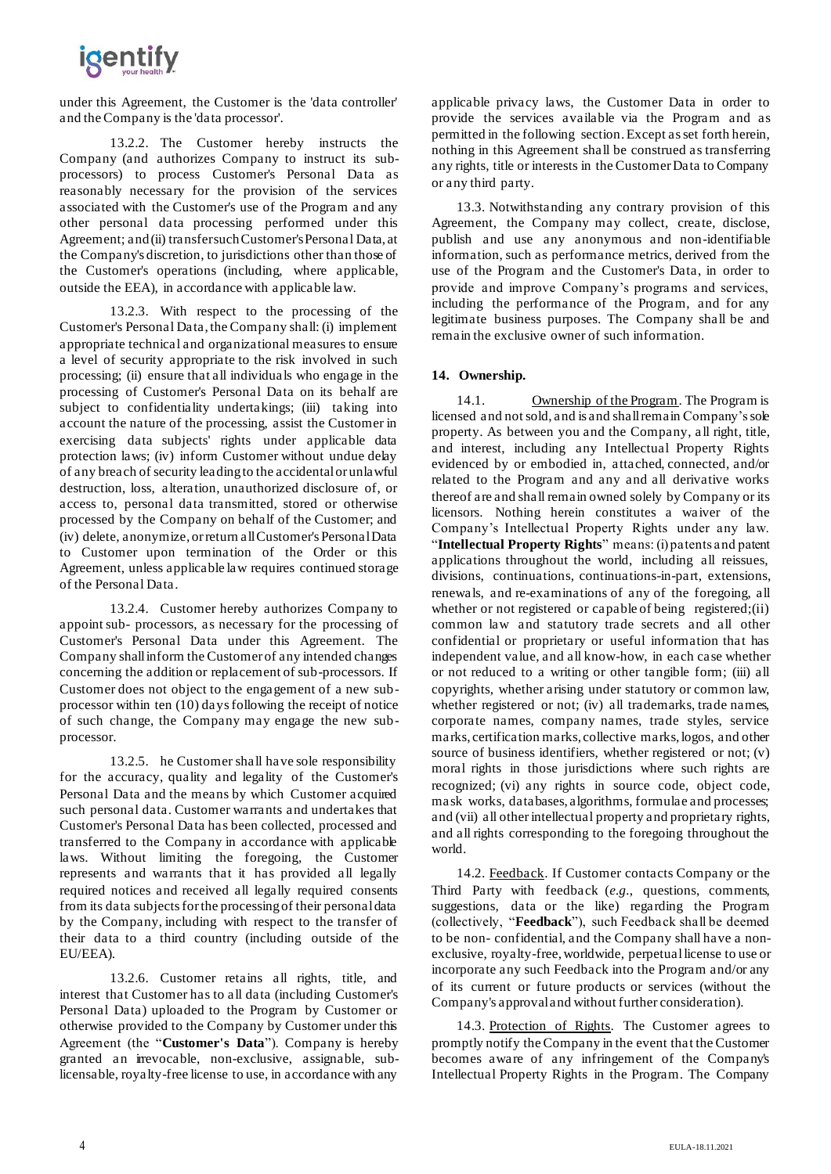## igentify

under this Agreement, the Customer is the 'data controller' and the Company is the 'data processor'.

13.2.2. The Customer hereby instructs the Company (and authorizes Company to instruct its subprocessors) to process Customer's Personal Data as reasonably necessary for the provision of the services associated with the Customer's use of the Program and any other personal data processing performed under this Agreement; and(ii) transfersuchCustomer'sPersonal Data, at the Company's discretion, to jurisdictions other than those of the Customer's operations (including, where applicable, outside the EEA), in accordance with applicable law.

13.2.3. With respect to the processing of the Customer's Personal Data, the Company shall: (i) implement appropriate technical and organizational measures to ensure a level of security appropriate to the risk involved in such processing; (ii) ensure that all individuals who engage in the processing of Customer's Personal Data on its behalf are subject to confidentiality undertakings; (iii) taking into account the nature of the processing, assist the Customer in exercising data subjects' rights under applicable data protection laws; (iv) inform Customer without undue delay of any breach of security leading to the accidental or unlawful destruction, loss, alteration, unauthorized disclosure of, or access to, personal data transmitted, stored or otherwise processed by the Company on behalf of the Customer; and (iv) delete, anonymize, or return all Customer's Personal Data to Customer upon termination of the Order or this Agreement, unless applicable law requires continued storage of the Personal Data.

13.2.4. Customer hereby authorizes Company to appoint sub- processors, as necessary for the processing of Customer's Personal Data under this Agreement. The Company shall inform the Customer of any intended changes concerning the addition or replacement of sub-processors. If Customer does not object to the engagement of a new subprocessor within ten (10) days following the receipt of notice of such change, the Company may engage the new subprocessor.

13.2.5. he Customer shall have sole responsibility for the accuracy, quality and legality of the Customer's Personal Data and the means by which Customer acquired such personal data. Customer warrants and undertakes that Customer's Personal Data has been collected, processed and transferred to the Company in accordance with applicable laws. Without limiting the foregoing, the Customer represents and warrants that it has provided all legally required notices and received all legally required consents from its data subjects for the processing of their personal data by the Company, including with respect to the transfer of their data to a third country (including outside of the EU/EEA).

13.2.6. Customer retains all rights, title, and interest that Customer has to all data (including Customer's Personal Data) uploaded to the Program by Customer or otherwise provided to the Company by Customer under this Agreement (the "**Customer's Data**"). Company is hereby granted an irrevocable, non-exclusive, assignable, sublicensable, royalty-free license to use, in accordance with any applicable privacy laws, the Customer Data in order to provide the services available via the Program and as permitted in the following section.Except asset forth herein, nothing in this Agreement shall be construed as transferring any rights, title or interests in the Customer Data to Company or any third party.

13.3. Notwithstanding any contrary provision of this Agreement, the Company may collect, create, disclose, publish and use any anonymous and non-identifiable information, such as performance metrics, derived from the use of the Program and the Customer's Data, in order to provide and improve Company's programs and services, including the performance of the Program, and for any legitimate business purposes. The Company shall be and remain the exclusive owner of such information.

### **14. Ownership.**

14.1. Ownership of the Program. The Program is licensed and not sold, and is and shallremain Company'ssole property. As between you and the Company, all right, title, and interest, including any Intellectual Property Rights evidenced by or embodied in, attached, connected, and/or related to the Program and any and all derivative works thereof are and shall remain owned solely by Company or its licensors. Nothing herein constitutes a waiver of the Company's Intellectual Property Rights under any law. "**Intellectual Property Rights**" means: (i) patents and patent applications throughout the world, including all reissues, divisions, continuations, continuations-in-part, extensions, renewals, and re-examinations of any of the foregoing, all whether or not registered or capable of being registered;(ii) common law and statutory trade secrets and all other confidential or proprietary or useful information that has independent value, and all know-how, in each case whether or not reduced to a writing or other tangible form; (iii) all copyrights, whether arising under statutory or common law, whether registered or not; (iv) all trademarks, trade names, corporate names, company names, trade styles, service marks, certification marks, collective marks, logos, and other source of business identifiers, whether registered or not; (v) moral rights in those jurisdictions where such rights are recognized; (vi) any rights in source code, object code, mask works, databases, algorithms, formulae and processes; and (vii) all otherintellectual property and proprietary rights, and all rights corresponding to the foregoing throughout the world.

14.2. Feedback. If Customer contacts Company or the Third Party with feedback (*e.g.*, questions, comments, suggestions, data or the like) regarding the Program (collectively, "**Feedback**"), such Feedback shall be deemed to be non- confidential, and the Company shall have a nonexclusive, royalty-free,worldwide, perpetuallicense to use or incorporate any such Feedback into the Program and/or any of its current or future products or services (without the Company's approval and without further consideration).

14.3. Protection of Rights. The Customer agrees to promptly notify the Company in the event that the Customer becomes aware of any infringement of the Company's Intellectual Property Rights in the Program. The Company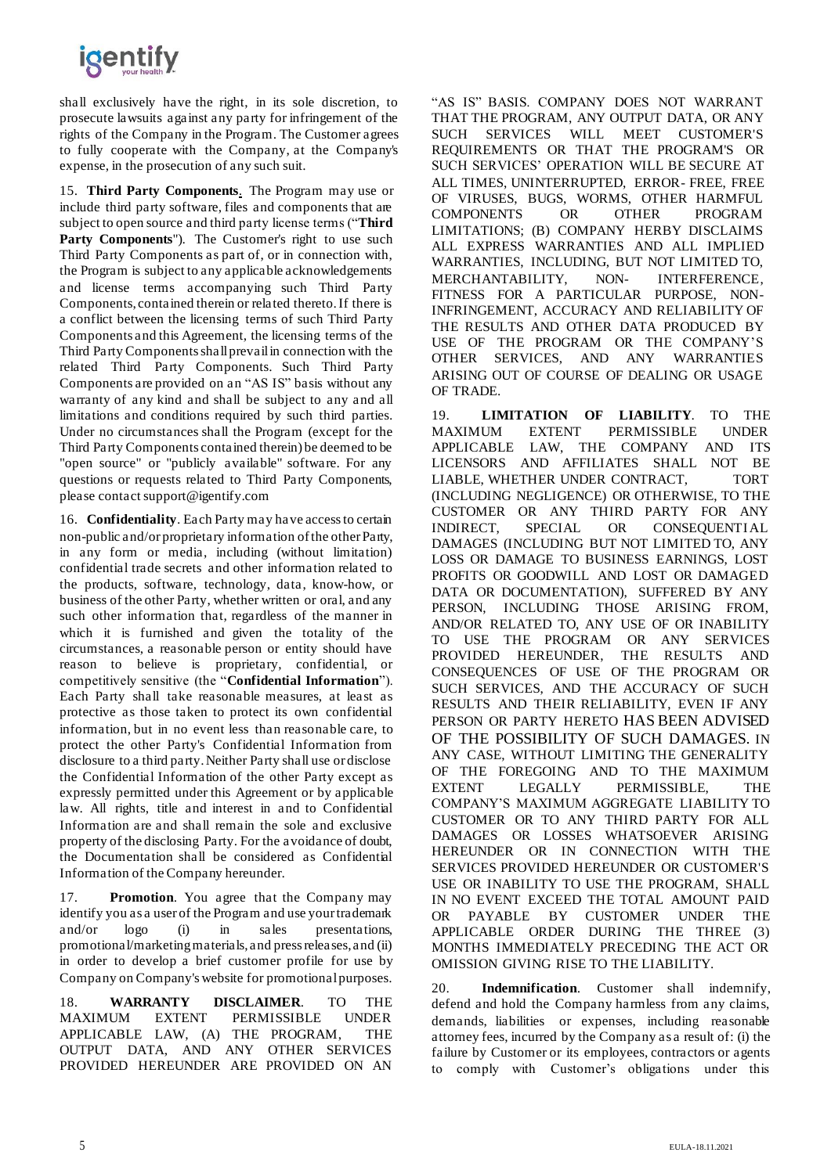

shall exclusively have the right, in its sole discretion, to prosecute lawsuits against any party for infringement of the rights of the Company in the Program. The Customer agrees to fully cooperate with the Company, at the Company's expense, in the prosecution of any such suit.

15. **Third Party Components**. The Program may use or include third party software, files and components that are subject to open source and third party license terms ("**Third**  Party Components"). The Customer's right to use such Third Party Components as part of, or in connection with, the Program is subject to any applicable acknowledgements and license terms accompanying such Third Party Components, contained therein or related thereto. If there is a conflict between the licensing terms of such Third Party Components and this Agreement, the licensing terms of the Third Party Components shall prevail in connection with the related Third Party Components. Such Third Party Components are provided on an "AS IS" basis without any warranty of any kind and shall be subject to any and all limitations and conditions required by such third parties. Under no circumstances shall the Program (except for the Third Party Components contained therein) be deemed to be "open source" or "publicly available" software. For any questions or requests related to Third Party Components, please contact [support@igentify.com](mailto:support@igentify.com)

16. **Confidentiality**. Each Party may have access to certain non-public and/or proprietary information ofthe otherParty, in any form or media, including (without limitation) confidential trade secrets and other information related to the products, software, technology, data, know-how, or business of the other Party, whether written or oral, and any such other information that, regardless of the manner in which it is furnished and given the totality of the circumstances, a reasonable person or entity should have reason to believe is proprietary, confidential, or competitively sensitive (the "**Confidential Information**"). Each Party shall take reasonable measures, at least as protective as those taken to protect its own confidential information, but in no event less than reasonable care, to protect the other Party's Confidential Information from disclosure to a third party. Neither Party shall use or disclose the Confidential Information of the other Party except as expressly permitted under this Agreement or by applicable law. All rights, title and interest in and to Confidential Information are and shall remain the sole and exclusive property of the disclosing Party. For the avoidance of doubt, the Documentation shall be considered as Confidential Information of the Company hereunder.

17. **Promotion**. You agree that the Company may identify you as a user of the Program and use your trademark and/or logo (i) in sales presentations, promotional/marketing materials, and press releases, and (ii) in order to develop a brief customer profile for use by Company on Company's website for promotional purposes.

18. **WARRANTY DISCLAIMER**. TO THE MAXIMUM EXTENT PERMISSIBLE UNDER APPLICABLE LAW, (A) THE PROGRAM, THE OUTPUT DATA, AND ANY OTHER SERVICES PROVIDED HEREUNDER ARE PROVIDED ON AN

"AS IS" BASIS. COMPANY DOES NOT WARRANT THAT THE PROGRAM, ANY OUTPUT DATA, OR ANY SUCH SERVICES WILL MEET CUSTOMER'S REQUIREMENTS OR THAT THE PROGRAM'S OR SUCH SERVICES' OPERATION WILL BE SECURE AT ALL TIMES, UNINTERRUPTED, ERROR- FREE, FREE OF VIRUSES, BUGS, WORMS, OTHER HARMFUL COMPONENTS OR OTHER PROGRAM LIMITATIONS; (B) COMPANY HERBY DISCLAIMS ALL EXPRESS WARRANTIES AND ALL IMPLIED WARRANTIES, INCLUDING, BUT NOT LIMITED TO, MERCHANTABILITY, NON- INTERFERENCE, FITNESS FOR A PARTICULAR PURPOSE, NON-INFRINGEMENT, ACCURACY AND RELIABILITY OF THE RESULTS AND OTHER DATA PRODUCED BY USE OF THE PROGRAM OR THE COMPANY'S OTHER SERVICES, AND ANY WARRANTIES ARISING OUT OF COURSE OF DEALING OR USAGE OF TRADE.

19. **LIMITATION OF LIABILITY**. TO THE MAXIMUM EXTENT PERMISSIBLE UNDER APPLICABLE LAW, THE COMPANY AND ITS LICENSORS AND AFFILIATES SHALL NOT BE LIABLE, WHETHER UNDER CONTRACT, TORT (INCLUDING NEGLIGENCE) OR OTHERWISE, TO THE CUSTOMER OR ANY THIRD PARTY FOR ANY INDIRECT, SPECIAL OR CONSEQUENTIAL DAMAGES (INCLUDING BUT NOT LIMITED TO, ANY LOSS OR DAMAGE TO BUSINESS EARNINGS, LOST PROFITS OR GOODWILL AND LOST OR DAMAGED DATA OR DOCUMENTATION), SUFFERED BY ANY PERSON, INCLUDING THOSE ARISING FROM, AND/OR RELATED TO, ANY USE OF OR INABILITY TO USE THE PROGRAM OR ANY SERVICES PROVIDED HEREUNDER, THE RESULTS AND CONSEQUENCES OF USE OF THE PROGRAM OR SUCH SERVICES, AND THE ACCURACY OF SUCH RESULTS AND THEIR RELIABILITY, EVEN IF ANY PERSON OR PARTY HERETO HAS BEEN ADVISED OF THE POSSIBILITY OF SUCH DAMAGES. IN ANY CASE, WITHOUT LIMITING THE GENERALITY OF THE FOREGOING AND TO THE MAXIMUM EXTENT LEGALLY PERMISSIBLE, THE COMPANY'S MAXIMUM AGGREGATE LIABILITY TO CUSTOMER OR TO ANY THIRD PARTY FOR ALL DAMAGES OR LOSSES WHATSOEVER ARISING HEREUNDER OR IN CONNECTION WITH THE SERVICES PROVIDED HEREUNDER OR CUSTOMER'S USE OR INABILITY TO USE THE PROGRAM, SHALL IN NO EVENT EXCEED THE TOTAL AMOUNT PAID OR PAYABLE BY CUSTOMER UNDER THE APPLICABLE ORDER DURING THE THREE (3) MONTHS IMMEDIATELY PRECEDING THE ACT OR OMISSION GIVING RISE TO THE LIABILITY.

20. **Indemnification**. Customer shall indemnify, defend and hold the Company harmless from any claims, demands, liabilities or expenses, including reasonable attorney fees, incurred by the Company as a result of: (i) the failure by Customer or its employees, contractors or agents to comply with Customer's obligations under this